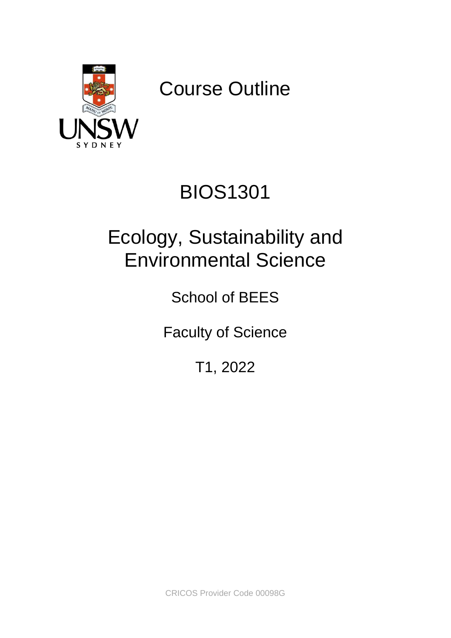

Course Outline

# BIOS1301

# Ecology, Sustainability and Environmental Science

School of BEES

Faculty of Science

T1, 2022

CRICOS Provider Code 00098G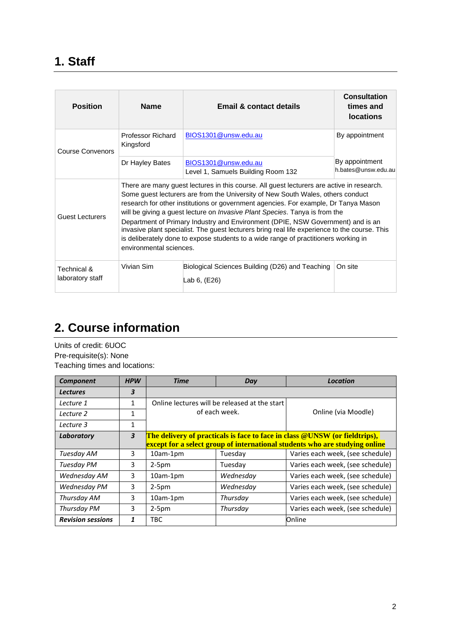# **1. Staff**

| <b>Position</b>                 | <b>Name</b>                                                                                                                                                                                                                                                                                                                                                                                                                                                                                                                                                                                                                                                      | Email & contact details                                                                             | <b>Consultation</b><br>times and<br><b>locations</b> |  |
|---------------------------------|------------------------------------------------------------------------------------------------------------------------------------------------------------------------------------------------------------------------------------------------------------------------------------------------------------------------------------------------------------------------------------------------------------------------------------------------------------------------------------------------------------------------------------------------------------------------------------------------------------------------------------------------------------------|-----------------------------------------------------------------------------------------------------|------------------------------------------------------|--|
| Course Convenors                | Professor Richard<br>Kingsford                                                                                                                                                                                                                                                                                                                                                                                                                                                                                                                                                                                                                                   | BIOS1301@unsw.edu.au                                                                                | By appointment                                       |  |
|                                 | Dr Hayley Bates                                                                                                                                                                                                                                                                                                                                                                                                                                                                                                                                                                                                                                                  | By appointment<br>BIOS1301@unsw.edu.au<br>h.bates@unsw.edu.au<br>Level 1, Samuels Building Room 132 |                                                      |  |
| Guest Lecturers                 | There are many guest lectures in this course. All guest lecturers are active in research.<br>Some guest lecturers are from the University of New South Wales, others conduct<br>research for other institutions or government agencies. For example, Dr Tanya Mason<br>will be giving a guest lecture on <i>Invasive Plant Species</i> . Tanya is from the<br>Department of Primary Industry and Environment (DPIE, NSW Government) and is an<br>invasive plant specialist. The guest lecturers bring real life experience to the course. This<br>is deliberately done to expose students to a wide range of practitioners working in<br>environmental sciences. |                                                                                                     |                                                      |  |
| Technical &<br>laboratory staff | Vivian Sim                                                                                                                                                                                                                                                                                                                                                                                                                                                                                                                                                                                                                                                       | Biological Sciences Building (D26) and Teaching<br>Lab 6, (E26)                                     | On site                                              |  |

# **2. Course information**

Units of credit: 6UOC Pre-requisite(s): None Teaching times and locations:

| <b>Component</b>         | <b>HPW</b>              | <b>Time</b>                                                                                                                                                       | Day                                           | <b>Location</b>                  |  |
|--------------------------|-------------------------|-------------------------------------------------------------------------------------------------------------------------------------------------------------------|-----------------------------------------------|----------------------------------|--|
| <b>Lectures</b>          | 3                       |                                                                                                                                                                   |                                               |                                  |  |
| Lecture 1                | 1                       |                                                                                                                                                                   | Online lectures will be released at the start |                                  |  |
| Lecture 2                | 1                       | of each week.                                                                                                                                                     |                                               | Online (via Moodle)              |  |
| Lecture 3                | 1                       |                                                                                                                                                                   |                                               |                                  |  |
| Laboratory               | $\overline{\mathbf{3}}$ | <b>The delivery of practicals is face to face in class @UNSW (or field trips),</b><br>except for a select group of international students who are studying online |                                               |                                  |  |
| Tuesday AM               | 3                       | 10am-1pm                                                                                                                                                          | Tuesday                                       | Varies each week, (see schedule) |  |
| Tuesday PM               | 3                       | $2-5pm$                                                                                                                                                           | Tuesday                                       | Varies each week, (see schedule) |  |
| Wednesday AM             | 3                       | 10am-1pm                                                                                                                                                          | Wednesday                                     | Varies each week, (see schedule) |  |
| Wednesday PM             | 3                       | $2-5pm$                                                                                                                                                           | Wednesday                                     | Varies each week, (see schedule) |  |
| Thursday AM              | 3                       | 10am-1pm                                                                                                                                                          | Thursday                                      | Varies each week, (see schedule) |  |
| Thursday PM              | 3.                      | $2-5pm$                                                                                                                                                           | Thursday                                      | Varies each week, (see schedule) |  |
| <b>Revision sessions</b> | 1                       | TBC.                                                                                                                                                              |                                               | Online                           |  |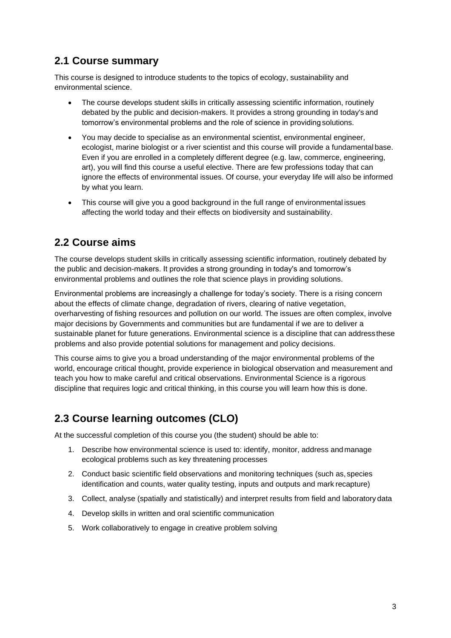### **2.1 Course summary**

This course is designed to introduce students to the topics of ecology, sustainability and environmental science.

- The course develops student skills in critically assessing scientific information, routinely debated by the public and decision-makers. It provides a strong grounding in today's and tomorrow's environmental problems and the role of science in providing solutions.
- You may decide to specialise as an environmental scientist, environmental engineer, ecologist, marine biologist or a river scientist and this course will provide a fundamental base. Even if you are enrolled in a completely different degree (e.g. law, commerce, engineering, art), you will find this course a useful elective. There are few professions today that can ignore the effects of environmental issues. Of course, your everyday life will also be informed by what you learn.
- This course will give you a good background in the full range of environmental issues affecting the world today and their effects on biodiversity and sustainability.

### **2.2 Course aims**

The course develops student skills in critically assessing scientific information, routinely debated by the public and decision-makers. It provides a strong grounding in today's and tomorrow's environmental problems and outlines the role that science plays in providing solutions.

Environmental problems are increasingly a challenge for today's society. There is a rising concern about the effects of climate change, degradation of rivers, clearing of native vegetation, overharvesting of fishing resources and pollution on our world. The issues are often complex, involve major decisions by Governments and communities but are fundamental if we are to deliver a sustainable planet for future generations. Environmental science is a discipline that can address these problems and also provide potential solutions for management and policy decisions.

This course aims to give you a broad understanding of the major environmental problems of the world, encourage critical thought, provide experience in biological observation and measurement and teach you how to make careful and critical observations. Environmental Science is a rigorous discipline that requires logic and critical thinking, in this course you will learn how this is done.

### **2.3 Course learning outcomes (CLO)**

At the successful completion of this course you (the student) should be able to:

- 1. Describe how environmental science is used to: identify, monitor, address andmanage ecological problems such as key threatening processes
- 2. Conduct basic scientific field observations and monitoring techniques (such as, species identification and counts, water quality testing, inputs and outputs and mark recapture)
- 3. Collect, analyse (spatially and statistically) and interpret results from field and laboratory data
- 4. Develop skills in written and oral scientific communication
- 5. Work collaboratively to engage in creative problem solving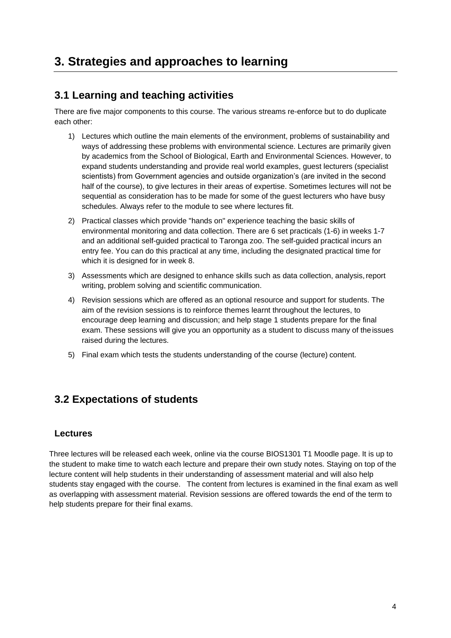# **3. Strategies and approaches to learning**

### **3.1 Learning and teaching activities**

There are five major components to this course. The various streams re-enforce but to do duplicate each other:

- 1) Lectures which outline the main elements of the environment, problems of sustainability and ways of addressing these problems with environmental science. Lectures are primarily given by academics from the School of Biological, Earth and Environmental Sciences. However, to expand students understanding and provide real world examples, guest lecturers (specialist scientists) from Government agencies and outside organization's (are invited in the second half of the course), to give lectures in their areas of expertise. Sometimes lectures will not be sequential as consideration has to be made for some of the guest lecturers who have busy schedules. Always refer to the module to see where lectures fit.
- 2) Practical classes which provide "hands on" experience teaching the basic skills of environmental monitoring and data collection. There are 6 set practicals (1-6) in weeks 1-7 and an additional self-guided practical to Taronga zoo. The self-guided practical incurs an entry fee. You can do this practical at any time, including the designated practical time for which it is designed for in week 8.
- 3) Assessments which are designed to enhance skills such as data collection, analysis,report writing, problem solving and scientific communication.
- 4) Revision sessions which are offered as an optional resource and support for students. The aim of the revision sessions is to reinforce themes learnt throughout the lectures, to encourage deep learning and discussion; and help stage 1 students prepare for the final exam. These sessions will give you an opportunity as a student to discuss many of theissues raised during the lectures.
- 5) Final exam which tests the students understanding of the course (lecture) content.

### **3.2 Expectations of students**

### **Lectures**

Three lectures will be released each week, online via the course BIOS1301 T1 Moodle page. It is up to the student to make time to watch each lecture and prepare their own study notes. Staying on top of the lecture content will help students in their understanding of assessment material and will also help students stay engaged with the course. The content from lectures is examined in the final exam as well as overlapping with assessment material. Revision sessions are offered towards the end of the term to help students prepare for their final exams.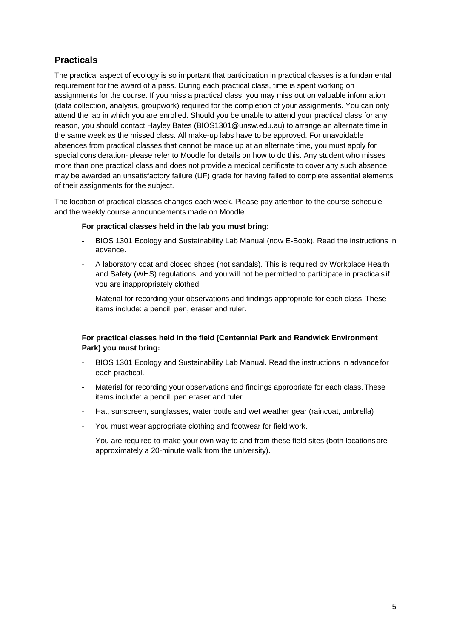### **Practicals**

The practical aspect of ecology is so important that participation in practical classes is a fundamental requirement for the award of a pass. During each practical class, time is spent working on assignments for the course. If you miss a practical class, you may miss out on valuable information (data collection, analysis, groupwork) required for the completion of your assignments. You can only attend the lab in which you are enrolled. Should you be unable to attend your practical class for any reason, you should contact Hayley Bates (BIOS1301@unsw.edu.au) to arrange an alternate time in the same week as the missed class. All make-up labs have to be approved. For unavoidable absences from practical classes that cannot be made up at an alternate time, you must apply for special consideration- please refer to Moodle for details on how to do this. Any student who misses more than one practical class and does not provide a medical certificate to cover any such absence may be awarded an unsatisfactory failure (UF) grade for having failed to complete essential elements of their assignments for the subject.

The location of practical classes changes each week. Please pay attention to the course schedule and the weekly course announcements made on Moodle.

#### **For practical classes held in the lab you must bring:**

- BIOS 1301 Ecology and Sustainability Lab Manual (now E-Book). Read the instructions in advance.
- A laboratory coat and closed shoes (not sandals). This is required by Workplace Health and Safety (WHS) regulations, and you will not be permitted to participate in practicals if you are inappropriately clothed.
- Material for recording your observations and findings appropriate for each class. These items include: a pencil, pen, eraser and ruler.

#### **For practical classes held in the field (Centennial Park and Randwick Environment Park) you must bring:**

- BIOS 1301 Ecology and Sustainability Lab Manual. Read the instructions in advance for each practical.
- Material for recording your observations and findings appropriate for each class. These items include: a pencil, pen eraser and ruler.
- Hat, sunscreen, sunglasses, water bottle and wet weather gear (raincoat, umbrella)
- You must wear appropriate clothing and footwear for field work.
- You are required to make your own way to and from these field sites (both locations are approximately a 20-minute walk from the university).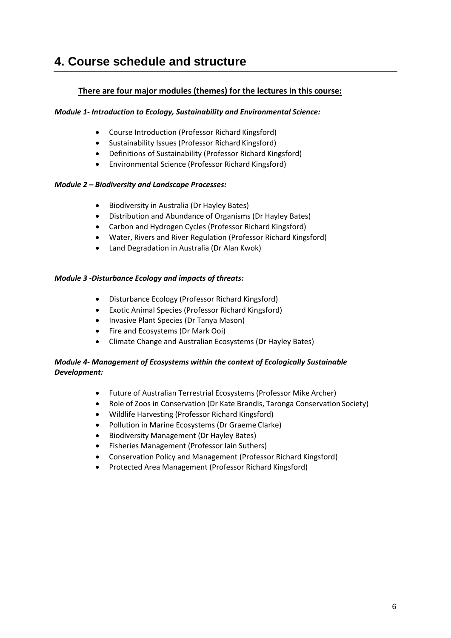## **4. Course schedule and structure**

#### **There are four major modules (themes) for the lectures in this course:**

#### *Module 1- Introduction to Ecology, Sustainability and Environmental Science:*

- Course Introduction (Professor Richard Kingsford)
- Sustainability Issues (Professor Richard Kingsford)
- Definitions of Sustainability (Professor Richard Kingsford)
- Environmental Science (Professor Richard Kingsford)

#### *Module 2 – Biodiversity and Landscape Processes:*

- Biodiversity in Australia (Dr Hayley Bates)
- Distribution and Abundance of Organisms (Dr Hayley Bates)
- Carbon and Hydrogen Cycles (Professor Richard Kingsford)
- Water, Rivers and River Regulation (Professor Richard Kingsford)
- Land Degradation in Australia (Dr Alan Kwok)

#### *Module 3 -Disturbance Ecology and impacts of threats:*

- Disturbance Ecology (Professor Richard Kingsford)
- Exotic Animal Species (Professor Richard Kingsford)
- Invasive Plant Species (Dr Tanya Mason)
- Fire and Ecosystems (Dr Mark Ooi)
- Climate Change and Australian Ecosystems (Dr Hayley Bates)

#### *Module 4- Management of Ecosystems within the context of Ecologically Sustainable Development:*

- Future of Australian Terrestrial Ecosystems (Professor Mike Archer)
- Role of Zoos in Conservation (Dr Kate Brandis, Taronga Conservation Society)
- Wildlife Harvesting (Professor Richard Kingsford)
- Pollution in Marine Ecosystems (Dr Graeme Clarke)
- Biodiversity Management (Dr Hayley Bates)
- Fisheries Management (Professor Iain Suthers)
- Conservation Policy and Management (Professor Richard Kingsford)
- Protected Area Management (Professor Richard Kingsford)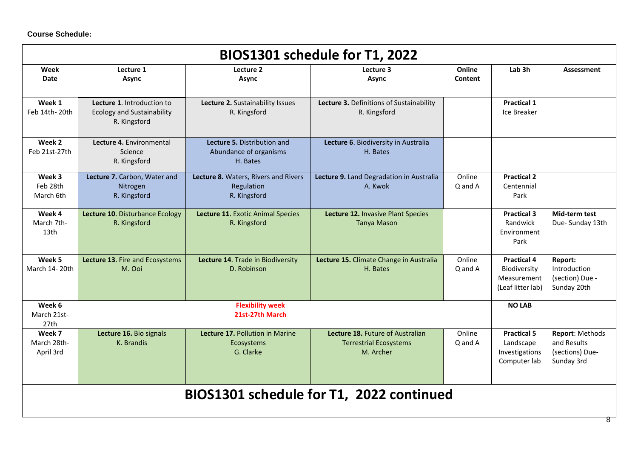| BIOS1301 schedule for T1, 2022     |                                                                                        |                                                                    |                                                                                |                   |                                                                        |                                                                        |
|------------------------------------|----------------------------------------------------------------------------------------|--------------------------------------------------------------------|--------------------------------------------------------------------------------|-------------------|------------------------------------------------------------------------|------------------------------------------------------------------------|
| Week<br><b>Date</b>                | Lecture 1<br><b>Async</b>                                                              | Lecture 2<br>Async                                                 | Lecture 3<br><b>Async</b>                                                      | Online<br>Content | Lab <sub>3h</sub>                                                      | <b>Assessment</b>                                                      |
| Week 1<br>Feb 14th-20th            | <b>Lecture 1.</b> Introduction to<br><b>Ecology and Sustainability</b><br>R. Kingsford | Lecture 2. Sustainability Issues<br>R. Kingsford                   | Lecture 3. Definitions of Sustainability<br>R. Kingsford                       |                   | <b>Practical 1</b><br>Ice Breaker                                      |                                                                        |
| Week 2<br>Feb 21st-27th            | Lecture 4. Environmental<br>Science<br>R. Kingsford                                    | Lecture 5. Distribution and<br>Abundance of organisms<br>H. Bates  | Lecture 6. Biodiversity in Australia<br>H. Bates                               |                   |                                                                        |                                                                        |
| Week 3<br>Feb 28th<br>March 6th    | Lecture 7. Carbon, Water and<br>Nitrogen<br>R. Kingsford                               | Lecture 8. Waters, Rivers and Rivers<br>Regulation<br>R. Kingsford | Lecture 9. Land Degradation in Australia<br>A. Kwok                            | Online<br>Q and A | <b>Practical 2</b><br>Centennial<br>Park                               |                                                                        |
| Week 4<br>March 7th-<br>13th       | Lecture 10. Disturbance Ecology<br>R. Kingsford                                        | Lecture 11. Exotic Animal Species<br>R. Kingsford                  | Lecture 12. Invasive Plant Species<br><b>Tanya Mason</b>                       |                   | <b>Practical 3</b><br>Randwick<br>Environment<br>Park                  | Mid-term test<br>Due-Sunday 13th                                       |
| Week 5<br>March 14-20th            | Lecture 13. Fire and Ecosystems<br>M. Ooi                                              | Lecture 14. Trade in Biodiversity<br>D. Robinson                   | Lecture 15. Climate Change in Australia<br>H. Bates                            | Online<br>Q and A | <b>Practical 4</b><br>Biodiversity<br>Measurement<br>(Leaf litter lab) | Report:<br>Introduction<br>(section) Due -<br>Sunday 20th              |
| Week 6<br>March 21st-<br>27th      | <b>Flexibility week</b><br>21st-27th March                                             |                                                                    |                                                                                |                   | <b>NO LAB</b>                                                          |                                                                        |
| Week 7<br>March 28th-<br>April 3rd | Lecture 16. Bio signals<br>K. Brandis                                                  | Lecture 17. Pollution in Marine<br>Ecosystems<br>G. Clarke         | Lecture 18. Future of Australian<br><b>Terrestrial Ecosystems</b><br>M. Archer | Online<br>Q and A | <b>Practical 5</b><br>Landscape<br>Investigations<br>Computer lab      | <b>Report: Methods</b><br>and Results<br>(sections) Due-<br>Sunday 3rd |
|                                    | BIOS1301 schedule for T1, 2022 continued                                               |                                                                    |                                                                                |                   |                                                                        |                                                                        |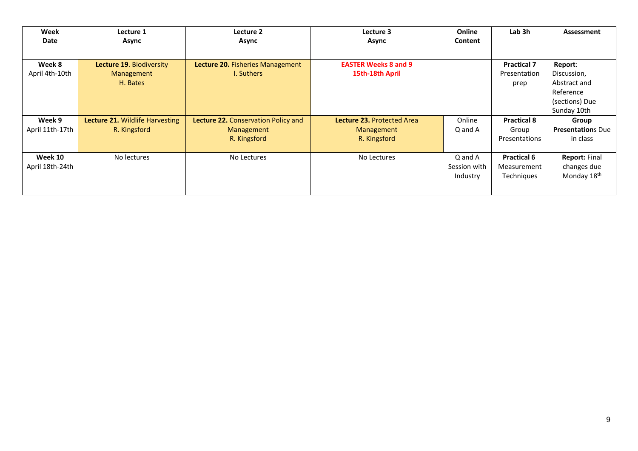| Week            | Lecture 1                       | Lecture 2                           | Lecture 3                   | Online       | Lab 3h             | Assessment               |
|-----------------|---------------------------------|-------------------------------------|-----------------------------|--------------|--------------------|--------------------------|
| Date            | <b>Async</b>                    | <b>Async</b>                        | <b>Async</b>                | Content      |                    |                          |
|                 |                                 |                                     |                             |              |                    |                          |
| Week 8          | <b>Lecture 19. Biodiversity</b> | Lecture 20. Fisheries Management    | <b>EASTER Weeks 8 and 9</b> |              | <b>Practical 7</b> | Report:                  |
| April 4th-10th  | Management                      | I. Suthers                          | 15th-18th April             |              | Presentation       | Discussion,              |
|                 | H. Bates                        |                                     |                             |              | prep               | Abstract and             |
|                 |                                 |                                     |                             |              |                    | Reference                |
|                 |                                 |                                     |                             |              |                    | (sections) Due           |
|                 |                                 |                                     |                             |              |                    | Sunday 10th              |
| Week 9          | Lecture 21. Wildlife Harvesting | Lecture 22. Conservation Policy and | Lecture 23. Protected Area  | Online       | <b>Practical 8</b> | Group                    |
| April 11th-17th | R. Kingsford                    | Management                          | Management                  | Q and A      | Group              | <b>Presentations Due</b> |
|                 |                                 | R. Kingsford                        | R. Kingsford                |              | Presentations      | in class                 |
|                 |                                 |                                     |                             |              |                    |                          |
| Week 10         | No lectures                     | No Lectures                         | No Lectures                 | Q and A      | <b>Practical 6</b> | <b>Report: Final</b>     |
| April 18th-24th |                                 |                                     |                             | Session with | Measurement        | changes due              |
|                 |                                 |                                     |                             | Industry     | <b>Techniques</b>  | Monday 18th              |
|                 |                                 |                                     |                             |              |                    |                          |
|                 |                                 |                                     |                             |              |                    |                          |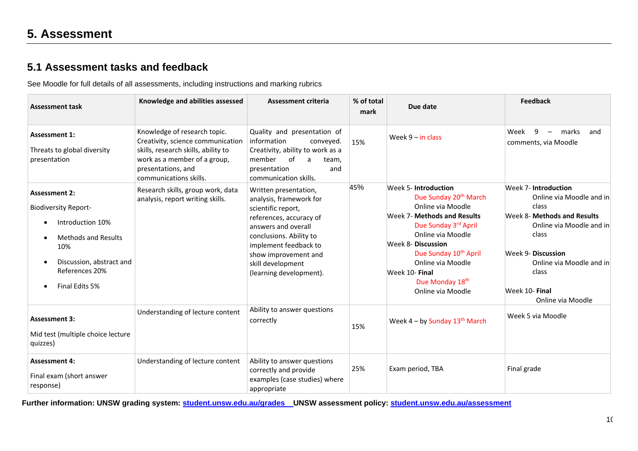## **5. Assessment**

### **5.1 Assessment tasks and feedback**

See Moodle for full details of all assessments, including instructions and marking rubrics

| <b>Assessment task</b>                                                                                                                                                                                              | Knowledge and abilities assessed                                                                                                                                                         | Assessment criteria                                                                                                                                                                                                                                  | % of total<br>mark | Due date                                                                                                                                                                                                                                                                                                                  | <b>Feedback</b>                                                                                                                                                                                                                 |
|---------------------------------------------------------------------------------------------------------------------------------------------------------------------------------------------------------------------|------------------------------------------------------------------------------------------------------------------------------------------------------------------------------------------|------------------------------------------------------------------------------------------------------------------------------------------------------------------------------------------------------------------------------------------------------|--------------------|---------------------------------------------------------------------------------------------------------------------------------------------------------------------------------------------------------------------------------------------------------------------------------------------------------------------------|---------------------------------------------------------------------------------------------------------------------------------------------------------------------------------------------------------------------------------|
| <b>Assessment 1:</b><br>Threats to global diversity<br>presentation                                                                                                                                                 | Knowledge of research topic.<br>Creativity, science communication<br>skills, research skills, ability to<br>work as a member of a group,<br>presentations, and<br>communications skills. | Quality and presentation of<br>information<br>conveyed.<br>Creativity, ability to work as a<br>member<br>of<br>a<br>team.<br>presentation<br>and<br>communication skills.                                                                            | 15%                | Week $9 - in class$                                                                                                                                                                                                                                                                                                       | 9<br>marks<br>Week<br>and<br>$\overline{\phantom{m}}$<br>comments, via Moodle                                                                                                                                                   |
| <b>Assessment 2:</b><br><b>Biodiversity Report-</b><br>Introduction 10%<br>$\bullet$<br><b>Methods and Results</b><br>10%<br>Discussion, abstract and<br>$\bullet$<br>References 20%<br>Final Edits 5%<br>$\bullet$ | Research skills, group work, data<br>analysis, report writing skills.                                                                                                                    | Written presentation,<br>analysis, framework for<br>scientific report,<br>references, accuracy of<br>answers and overall<br>conclusions. Ability to<br>implement feedback to<br>show improvement and<br>skill development<br>(learning development). | 45%                | <b>Week 5- Introduction</b><br>Due Sunday 20 <sup>th</sup> March<br>Online via Moodle<br><b>Week 7- Methods and Results</b><br>Due Sunday 3rd April<br>Online via Moodle<br><b>Week 8- Discussion</b><br>Due Sunday 10 <sup>th</sup> April<br>Online via Moodle<br>Week 10- Final<br>Due Monday 18th<br>Online via Moodle | Week 7- Introduction<br>Online via Moodle and in<br>class<br>Week 8- Methods and Results<br>Online via Moodle and in<br>class<br>Week 9- Discussion<br>Online via Moodle and in<br>class<br>Week 10- Final<br>Online via Moodle |
| <b>Assessment 3:</b><br>Mid test (multiple choice lecture<br>quizzes)                                                                                                                                               | Understanding of lecture content                                                                                                                                                         | Ability to answer questions<br>correctly                                                                                                                                                                                                             | 15%                | Week $4 - by$ Sunday $13th$ March                                                                                                                                                                                                                                                                                         | Week 5 via Moodle                                                                                                                                                                                                               |
| <b>Assessment 4:</b><br>Final exam (short answer<br>response)                                                                                                                                                       | Understanding of lecture content                                                                                                                                                         | Ability to answer questions<br>correctly and provide<br>examples (case studies) where<br>appropriate                                                                                                                                                 | 25%                | Exam period, TBA                                                                                                                                                                                                                                                                                                          | Final grade                                                                                                                                                                                                                     |

**Further information: UNSW grading system: [student.unsw.edu.au/grades](https://student.unsw.edu.au/grades) UNSW assessment policy[: student.unsw.edu.au/assessment](https://student.unsw.edu.au/assessment)**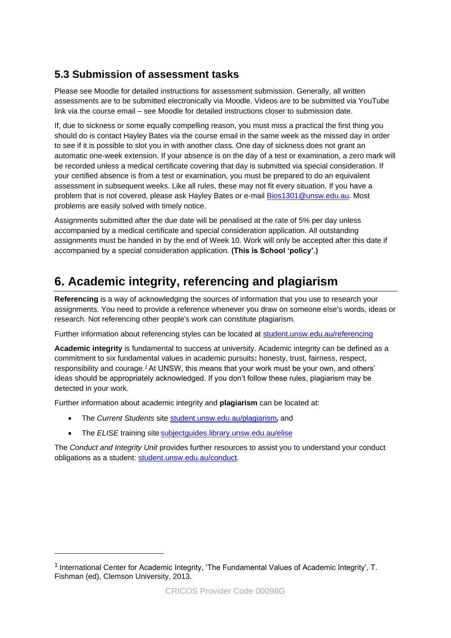### **5.3 Submission of assessment tasks**

Please see Moodle for detailed instructions for assessment submission. Generally, all written assessments are to be submitted electronically via Moodle. Videos are to be submitted via YouTube link via the course email – see Moodle for detailed instructions closer to submission date.

If, due to sickness or some equally compelling reason, you must miss a practical the first thing you should do is contact Hayley Bates via the course email in the same week as the missed day in order to see if it is possible to slot you in with another class. One day of sickness does not grant an automatic one-week extension. If your absence is on the day of a test or examination, a zero mark will be recorded unless a medical certificate covering that day is submitted via special consideration. If your certified absence is from a test or examination, you must be prepared to do an equivalent assessment in subsequent weeks. Like all rules, these may not fit every situation. If you have a problem that is not covered, please ask Hayley Bates or e-mail [Bios1301@unsw.edu.au. M](mailto:Bios1301@unsw.edu.au)ost problems are easily solved with timely notice.

Assignments submitted after the due date will be penalised at the rate of 5% per day unless accompanied by a medical certificate and special consideration application. All outstanding assignments must be handed in by the end of Week 10. Work will only be accepted after this date if accompanied by a special consideration application. **(This is School 'policy'.)**

# **6. Academic integrity, referencing and plagiarism**

**Referencing** is a way of acknowledging the sources of information that you use to research your assignments. You need to provide a reference whenever you draw on someone else's words, ideas or research. Not referencing other people's work can constitute plagiarism.

Further information about referencing styles can be located at [student.unsw.edu.au/referencing](https://student.unsw.edu.au/referencing)

**Academic integrity** is fundamental to success at university. Academic integrity can be defined as a commitment to six fundamental values in academic pursuits**:** honesty, trust, fairness, respect, responsibility and courage.*<sup>1</sup>*At UNSW, this means that your work must be your own, and others' ideas should be appropriately acknowledged. If you don't follow these rules, plagiarism may be detected in your work.

Further information about academic integrity and **plagiarism** can be located at:

- The *Current Students* site [student.unsw.edu.au/plagiarism](https://student.unsw.edu.au/plagiarism)*,* and
- The *ELISE* training site [subjectguides.library.unsw.edu.au/elise](http://subjectguides.library.unsw.edu.au/elise)

The *Conduct and Integrity Unit* provides further resources to assist you to understand your conduct obligations as a student: [student.unsw.edu.au/conduct.](https://student.unsw.edu.au/conduct)

 $1$  International Center for Academic Integrity, 'The Fundamental Values of Academic Integrity', T. Fishman (ed), Clemson University, 2013.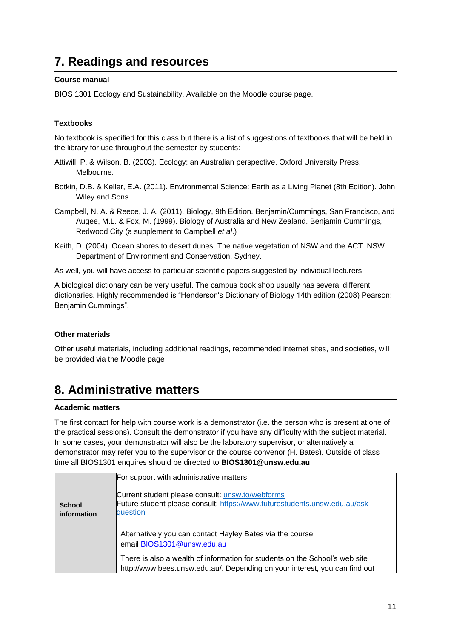# **7. Readings and resources**

#### **Course manual**

BIOS 1301 Ecology and Sustainability. Available on the Moodle course page.

#### **Textbooks**

No textbook is specified for this class but there is a list of suggestions of textbooks that will be held in the library for use throughout the semester by students:

- Attiwill, P. & Wilson, B. (2003). Ecology: an Australian perspective. Oxford University Press, Melbourne.
- Botkin, D.B. & Keller, E.A. (2011). Environmental Science: Earth as a Living Planet (8th Edition). John Wiley and Sons
- Campbell, N. A. & Reece, J. A. (2011). Biology, 9th Edition. Benjamin/Cummings, San Francisco, and Augee, M.L. & Fox, M. (1999). Biology of Australia and New Zealand. Benjamin Cummings, Redwood City (a supplement to Campbell *et al*.)
- Keith, D. (2004). Ocean shores to desert dunes. The native vegetation of NSW and the ACT. NSW Department of Environment and Conservation, Sydney.

As well, you will have access to particular scientific papers suggested by individual lecturers.

A biological dictionary can be very useful. The campus book shop usually has several different dictionaries. Highly recommended is "Henderson's Dictionary of Biology 14th edition (2008) Pearson: Benjamin Cummings".

#### **Other materials**

Other useful materials, including additional readings, recommended internet sites, and societies, will be provided via the Moodle page

# **8. Administrative matters**

#### **Academic matters**

The first contact for help with course work is a demonstrator (i.e. the person who is present at one of the practical sessions). Consult the demonstrator if you have any difficulty with the subject material. In some cases, your demonstrator will also be the laboratory supervisor, or alternatively a demonstrator may refer you to the supervisor or the course convenor (H. Bates). Outside of class time all BIOS1301 enquires should be directed to **[BIOS1301@unsw.edu.au](mailto:BIOS1301@unsw.edu.au)**

| <b>School</b><br>information | For support with administrative matters:<br>Current student please consult: unsw.to/webforms<br>Future student please consult: https://www.futurestudents.unsw.edu.au/ask-<br>question                                                               |
|------------------------------|------------------------------------------------------------------------------------------------------------------------------------------------------------------------------------------------------------------------------------------------------|
|                              | Alternatively you can contact Hayley Bates via the course<br>email BIOS1301@unsw.edu.au<br>There is also a wealth of information for students on the School's web site<br>http://www.bees.unsw.edu.au/. Depending on your interest, you can find out |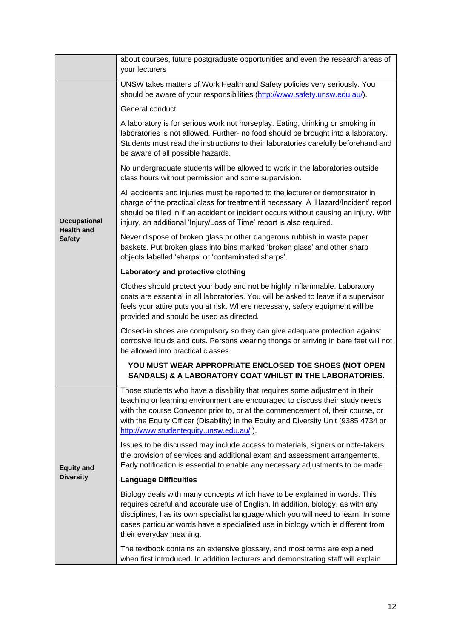|                                                           | about courses, future postgraduate opportunities and even the research areas of<br>your lecturers                                                                                                                                                                                                                                                                               |
|-----------------------------------------------------------|---------------------------------------------------------------------------------------------------------------------------------------------------------------------------------------------------------------------------------------------------------------------------------------------------------------------------------------------------------------------------------|
|                                                           | UNSW takes matters of Work Health and Safety policies very seriously. You<br>should be aware of your responsibilities (http://www.safety.unsw.edu.au/).                                                                                                                                                                                                                         |
|                                                           | General conduct                                                                                                                                                                                                                                                                                                                                                                 |
| <b>Occupational</b><br><b>Health and</b><br><b>Safety</b> | A laboratory is for serious work not horseplay. Eating, drinking or smoking in<br>laboratories is not allowed. Further- no food should be brought into a laboratory.<br>Students must read the instructions to their laboratories carefully beforehand and<br>be aware of all possible hazards.                                                                                 |
|                                                           | No undergraduate students will be allowed to work in the laboratories outside<br>class hours without permission and some supervision.                                                                                                                                                                                                                                           |
|                                                           | All accidents and injuries must be reported to the lecturer or demonstrator in<br>charge of the practical class for treatment if necessary. A 'Hazard/Incident' report<br>should be filled in if an accident or incident occurs without causing an injury. With<br>injury, an additional 'Injury/Loss of Time' report is also required.                                         |
|                                                           | Never dispose of broken glass or other dangerous rubbish in waste paper<br>baskets. Put broken glass into bins marked 'broken glass' and other sharp<br>objects labelled 'sharps' or 'contaminated sharps'.                                                                                                                                                                     |
|                                                           | Laboratory and protective clothing                                                                                                                                                                                                                                                                                                                                              |
|                                                           | Clothes should protect your body and not be highly inflammable. Laboratory<br>coats are essential in all laboratories. You will be asked to leave if a supervisor<br>feels your attire puts you at risk. Where necessary, safety equipment will be<br>provided and should be used as directed.                                                                                  |
|                                                           | Closed-in shoes are compulsory so they can give adequate protection against<br>corrosive liquids and cuts. Persons wearing thongs or arriving in bare feet will not<br>be allowed into practical classes.                                                                                                                                                                       |
|                                                           | YOU MUST WEAR APPROPRIATE ENCLOSED TOE SHOES (NOT OPEN<br>SANDALS) & A LABORATORY COAT WHILST IN THE LABORATORIES.                                                                                                                                                                                                                                                              |
|                                                           | Those students who have a disability that requires some adjustment in their<br>teaching or learning environment are encouraged to discuss their study needs<br>with the course Convenor prior to, or at the commencement of, their course, or<br>with the Equity Officer (Disability) in the Equity and Diversity Unit (9385 4734 or<br>http://www.studentequity.unsw.edu.au/). |
| <b>Equity and</b>                                         | Issues to be discussed may include access to materials, signers or note-takers,<br>the provision of services and additional exam and assessment arrangements.<br>Early notification is essential to enable any necessary adjustments to be made.                                                                                                                                |
| <b>Diversity</b>                                          | <b>Language Difficulties</b>                                                                                                                                                                                                                                                                                                                                                    |
|                                                           | Biology deals with many concepts which have to be explained in words. This<br>requires careful and accurate use of English. In addition, biology, as with any<br>disciplines, has its own specialist language which you will need to learn. In some<br>cases particular words have a specialised use in biology which is different from<br>their everyday meaning.              |
|                                                           | The textbook contains an extensive glossary, and most terms are explained<br>when first introduced. In addition lecturers and demonstrating staff will explain                                                                                                                                                                                                                  |